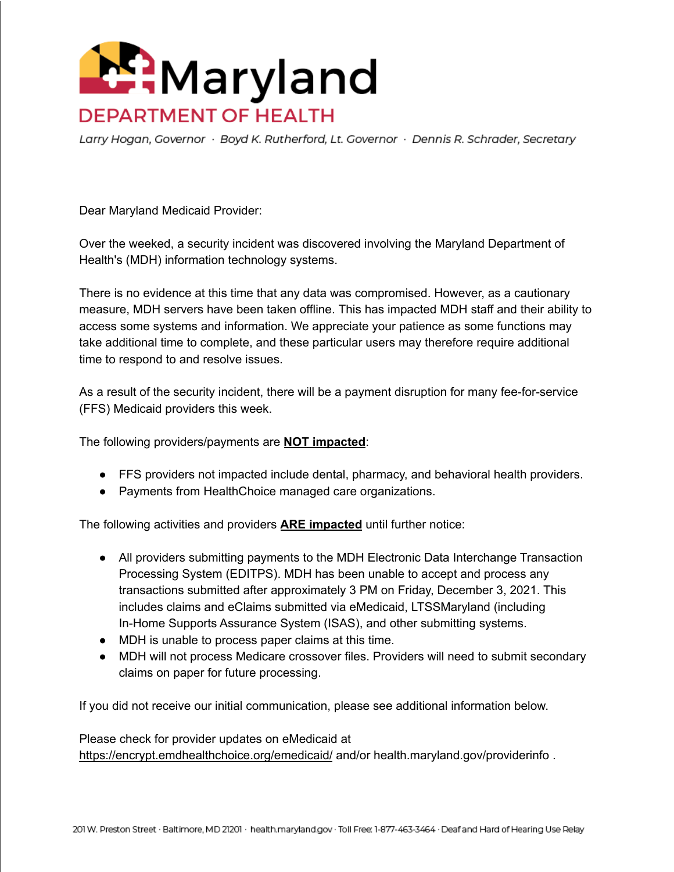

Larry Hogan, Governor · Boyd K. Rutherford, Lt. Governor · Dennis R. Schrader, Secretary

Dear Maryland Medicaid Provider:

Over the weeked, a security incident was discovered involving the Maryland Department of Health's (MDH) information technology systems.

There is no evidence at this time that any data was compromised. However, as a cautionary measure, MDH servers have been taken offline. This has impacted MDH staff and their ability to access some systems and information. We appreciate your patience as some functions may take additional time to complete, and these particular users may therefore require additional time to respond to and resolve issues.

As a result of the security incident, there will be a payment disruption for many fee-for-service (FFS) Medicaid providers this week.

The following providers/payments are **NOT impacted**:

- FFS providers not impacted include dental, pharmacy, and behavioral health providers.
- Payments from HealthChoice managed care organizations.

The following activities and providers **ARE impacted** until further notice:

- All providers submitting payments to the MDH Electronic Data Interchange Transaction Processing System (EDITPS). MDH has been unable to accept and process any transactions submitted after approximately 3 PM on Friday, December 3, 2021. This includes claims and eClaims submitted via eMedicaid, LTSSMaryland (including In-Home Supports Assurance System (ISAS), and other submitting systems.
- MDH is unable to process paper claims at this time.
- MDH will not process Medicare crossover files. Providers will need to submit secondary claims on paper for future processing.

If you did not receive our initial communication, please see additional information below.

Please check for provider updates on eMedicaid at <https://encrypt.emdhealthchoice.org/emedicaid/> and/or health.maryland.gov/providerinfo .